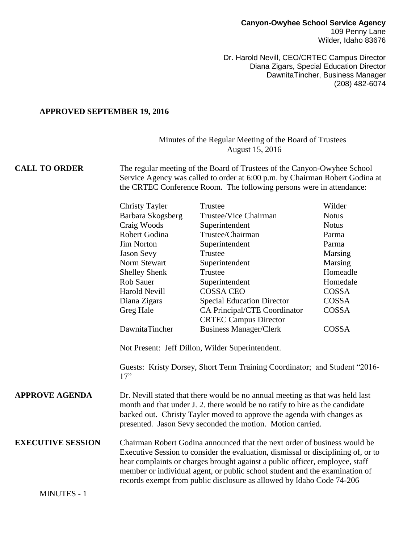Dr. Harold Nevill, CEO/CRTEC Campus Director Diana Zigars, Special Education Director DawnitaTincher, Business Manager (208) 482-6074

#### **APPROVED SEPTEMBER 19, 2016**

## Minutes of the Regular Meeting of the Board of Trustees August 15, 2016

### **CALL TO ORDER** The regular meeting of the Board of Trustees of the Canyon-Owyhee School Service Agency was called to order at 6:00 p.m. by Chairman Robert Godina at the CRTEC Conference Room. The following persons were in attendance:

|                          | <b>Christy Tayler</b>                                                                                                                                                                                                                                                                                                                                                                                  | Trustee                                                                    | Wilder       |
|--------------------------|--------------------------------------------------------------------------------------------------------------------------------------------------------------------------------------------------------------------------------------------------------------------------------------------------------------------------------------------------------------------------------------------------------|----------------------------------------------------------------------------|--------------|
|                          | Barbara Skogsberg                                                                                                                                                                                                                                                                                                                                                                                      | Trustee/Vice Chairman                                                      | <b>Notus</b> |
|                          | Craig Woods                                                                                                                                                                                                                                                                                                                                                                                            | Superintendent                                                             | <b>Notus</b> |
|                          | Robert Godina                                                                                                                                                                                                                                                                                                                                                                                          | Trustee/Chairman                                                           | Parma        |
|                          | <b>Jim Norton</b>                                                                                                                                                                                                                                                                                                                                                                                      | Superintendent                                                             | Parma        |
|                          | <b>Jason Sevy</b>                                                                                                                                                                                                                                                                                                                                                                                      | Trustee                                                                    | Marsing      |
|                          | Norm Stewart                                                                                                                                                                                                                                                                                                                                                                                           | Superintendent                                                             | Marsing      |
|                          | <b>Shelley Shenk</b>                                                                                                                                                                                                                                                                                                                                                                                   | Trustee                                                                    | Homeadle     |
|                          | <b>Rob Sauer</b>                                                                                                                                                                                                                                                                                                                                                                                       | Superintendent                                                             | Homedale     |
|                          | <b>Harold Nevill</b>                                                                                                                                                                                                                                                                                                                                                                                   | <b>COSSA CEO</b>                                                           | COSSA        |
|                          | Diana Zigars                                                                                                                                                                                                                                                                                                                                                                                           | <b>Special Education Director</b>                                          | COSSA        |
|                          | Greg Hale                                                                                                                                                                                                                                                                                                                                                                                              | CA Principal/CTE Coordinator                                               | <b>COSSA</b> |
|                          |                                                                                                                                                                                                                                                                                                                                                                                                        | <b>CRTEC Campus Director</b>                                               |              |
|                          | DawnitaTincher                                                                                                                                                                                                                                                                                                                                                                                         | <b>Business Manager/Clerk</b>                                              | <b>COSSA</b> |
|                          |                                                                                                                                                                                                                                                                                                                                                                                                        | Not Present: Jeff Dillon, Wilder Superintendent.                           |              |
|                          | 17"                                                                                                                                                                                                                                                                                                                                                                                                    | Guests: Kristy Dorsey, Short Term Training Coordinator; and Student "2016- |              |
| <b>APPROVE AGENDA</b>    | Dr. Nevill stated that there would be no annual meeting as that was held last<br>month and that under J. 2. there would be no ratify to hire as the candidate<br>backed out. Christy Tayler moved to approve the agenda with changes as<br>presented. Jason Sevy seconded the motion. Motion carried.                                                                                                  |                                                                            |              |
| <b>EXECUTIVE SESSION</b> | Chairman Robert Godina announced that the next order of business would be<br>Executive Session to consider the evaluation, dismissal or disciplining of, or to<br>hear complaints or charges brought against a public officer, employee, staff<br>member or individual agent, or public school student and the examination of<br>records exempt from public disclosure as allowed by Idaho Code 74-206 |                                                                            |              |
| <b>MINUTES - 1</b>       |                                                                                                                                                                                                                                                                                                                                                                                                        |                                                                            |              |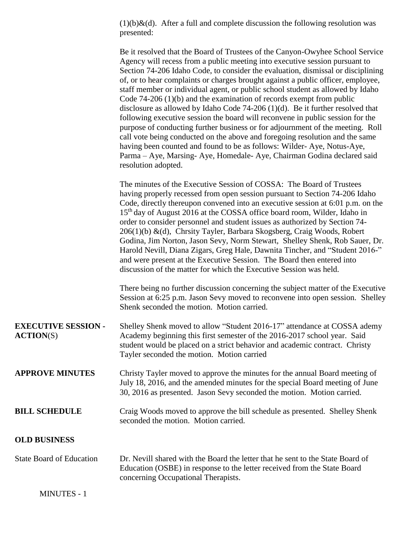$(1)(b)$ &(d). After a full and complete discussion the following resolution was presented:

The minutes of the Executive Session of COSSA: The Board of Trustees having properly recessed from open session pursuant to Section 74-206 Idaho Code, directly thereupon convened into an executive session at 6:01 p.m. on the 15<sup>th</sup> day of August 2016 at the COSSA office board room, Wilder, Idaho in order to consider personnel and student issues as authorized by Section 74- 206(1)(b) &(d), Chrsity Tayler, Barbara Skogsberg, Craig Woods, Robert Godina, Jim Norton, Jason Sevy, Norm Stewart, Shelley Shenk, Rob Sauer, Dr. Harold Nevill, Diana Zigars, Greg Hale, Dawnita Tincher, and "Student 2016-" and were present at the Executive Session. The Board then entered into discussion of the matter for which the Executive Session was held.

There being no further discussion concerning the subject matter of the Executive Session at 6:25 p.m. Jason Sevy moved to reconvene into open session. Shelley Shenk seconded the motion. Motion carried.

| <b>EXECUTIVE SESSION -</b><br>$\text{ACTION}(S)$ | Shelley Shenk moved to allow "Student 2016-17" attendance at COSSA ademy<br>Academy beginning this first semester of the 2016-2017 school year. Said<br>student would be placed on a strict behavior and academic contract. Christy<br>Tayler seconded the motion. Motion carried |
|--------------------------------------------------|-----------------------------------------------------------------------------------------------------------------------------------------------------------------------------------------------------------------------------------------------------------------------------------|
| <b>APPROVE MINUTES</b>                           | Christy Tayler moved to approve the minutes for the annual Board meeting of<br>July 18, 2016, and the amended minutes for the special Board meeting of June<br>30, 2016 as presented. Jason Sevy seconded the motion. Motion carried.                                             |
| <b>BILL SCHEDULE</b>                             | Craig Woods moved to approve the bill schedule as presented. Shelley Shenk<br>seconded the motion. Motion carried.                                                                                                                                                                |

### **OLD BUSINESS**

| <b>State Board of Education</b> | Dr. Nevill shared with the Board the letter that he sent to the State Board of |
|---------------------------------|--------------------------------------------------------------------------------|
|                                 | Education (OSBE) in response to the letter received from the State Board       |
|                                 | concerning Occupational Therapists.                                            |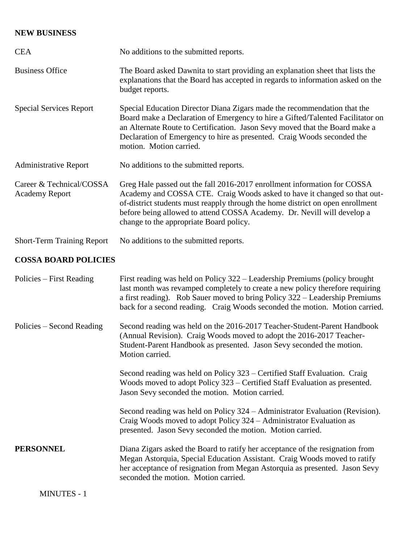# **NEW BUSINESS**

| <b>CEA</b>                                        | No additions to the submitted reports.                                                                                                                                                                                                                                                                                                                       |
|---------------------------------------------------|--------------------------------------------------------------------------------------------------------------------------------------------------------------------------------------------------------------------------------------------------------------------------------------------------------------------------------------------------------------|
| <b>Business Office</b>                            | The Board asked Dawnita to start providing an explanation sheet that lists the<br>explanations that the Board has accepted in regards to information asked on the<br>budget reports.                                                                                                                                                                         |
| <b>Special Services Report</b>                    | Special Education Director Diana Zigars made the recommendation that the<br>Board make a Declaration of Emergency to hire a Gifted/Talented Facilitator on<br>an Alternate Route to Certification. Jason Sevy moved that the Board make a<br>Declaration of Emergency to hire as presented. Craig Woods seconded the<br>motion. Motion carried.              |
| <b>Administrative Report</b>                      | No additions to the submitted reports.                                                                                                                                                                                                                                                                                                                       |
| Career & Technical/COSSA<br><b>Academy Report</b> | Greg Hale passed out the fall 2016-2017 enrollment information for COSSA<br>Academy and COSSA CTE. Craig Woods asked to have it changed so that out-<br>of-district students must reapply through the home district on open enrollment<br>before being allowed to attend COSSA Academy. Dr. Nevill will develop a<br>change to the appropriate Board policy. |
| <b>Short-Term Training Report</b>                 | No additions to the submitted reports.                                                                                                                                                                                                                                                                                                                       |
| <b>COSSA BOARD POLICIES</b>                       |                                                                                                                                                                                                                                                                                                                                                              |
| Policies – First Reading                          | First reading was held on Policy 322 – Leadership Premiums (policy brought<br>last month was revamped completely to create a new policy therefore requiring<br>a first reading). Rob Sauer moved to bring Policy 322 – Leadership Premiums<br>back for a second reading. Craig Woods seconded the motion. Motion carried.                                    |
| Policies – Second Reading                         | Second reading was held on the 2016-2017 Teacher-Student-Parent Handbook<br>(Annual Revision). Craig Woods moved to adopt the 2016-2017 Teacher-<br>Student-Parent Handbook as presented. Jason Sevy seconded the motion.<br>Motion carried.                                                                                                                 |
|                                                   | Second reading was held on Policy 323 – Certified Staff Evaluation. Craig<br>Woods moved to adopt Policy 323 – Certified Staff Evaluation as presented.<br>Jason Sevy seconded the motion. Motion carried.                                                                                                                                                   |
|                                                   | Second reading was held on Policy 324 – Administrator Evaluation (Revision).<br>Craig Woods moved to adopt Policy 324 – Administrator Evaluation as<br>presented. Jason Sevy seconded the motion. Motion carried.                                                                                                                                            |
| <b>PERSONNEL</b>                                  | Diana Zigars asked the Board to ratify her acceptance of the resignation from                                                                                                                                                                                                                                                                                |

Megan Astorquia, Special Education Assistant. Craig Woods moved to ratify her acceptance of resignation from Megan Astorquia as presented. Jason Sevy seconded the motion. Motion carried.